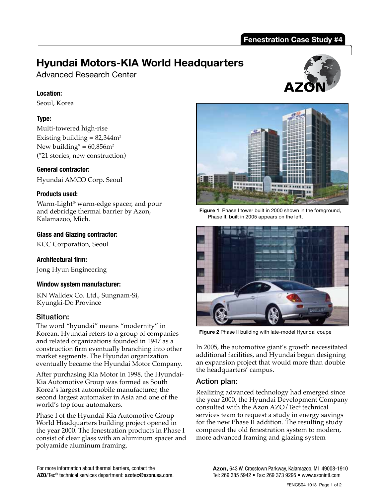#### **Fenestration Case Study #4**

## **Hyundai Motors-KIA World Headquarters**

Advanced Research Center

#### **Location:**

Seoul, Korea

#### **Type:**

Multi-towered high-rise Existing building  $= 82,344$ m<sup>2</sup> New building<sup>\*</sup> =  $60,856$ m<sup>2</sup> (\*21 stories, new construction)

#### **General contractor:**

Hyundai AMCO Corp. Seoul

#### **Products used:**

Warm-Light® warm-edge spacer, and pour and debridge thermal barrier by Azon, Kalamazoo, Mich.

#### **Glass and Glazing contractor:**

KCC Corporation, Seoul

#### **Architectural firm:**

Jong Hyun Engineering

#### **Window system manufacturer:**

KN Walldex Co. Ltd., Sungnam-Si, Kyungki-Do Province

#### Situation:

The word "hyundai" means "modernity" in Korean. Hyundai refers to a group of companies and related organizations founded in 1947 as a construction firm eventually branching into other market segments. The Hyundai organization eventually became the Hyundai Motor Company.

After purchasing Kia Motor in 1998, the Hyundai-Kia Automotive Group was formed as South Korea's largest automobile manufacturer, the second largest automaker in Asia and one of the world's top four automakers.

Phase I of the Hyundai-Kia Automotive Group World Headquarters building project opened in the year 2000. The fenestration products in Phase I consist of clear glass with an aluminum spacer and polyamide aluminum framing.





**Figure 1** Phase I tower built in 2000 shown in the foreground, Phase II, built in 2005 appears on the left.



**Figure 2** Phase II building with late-model Hyundai coupe

In 2005, the automotive giant's growth necessitated additional facilities, and Hyundai began designing an expansion project that would more than double the headquarters' campus.

## Action plan:

Realizing advanced technology had emerged since the year 2000, the Hyundai Development Company consulted with the Azon AZO/Tec® technical services team to request a study in energy savings for the new Phase II addition. The resulting study compared the old fenestration system to modern, more advanced framing and glazing system

For more information about thermal barriers, contact the **AZO**/Tec® technical services department: azotec@azonusa.com.